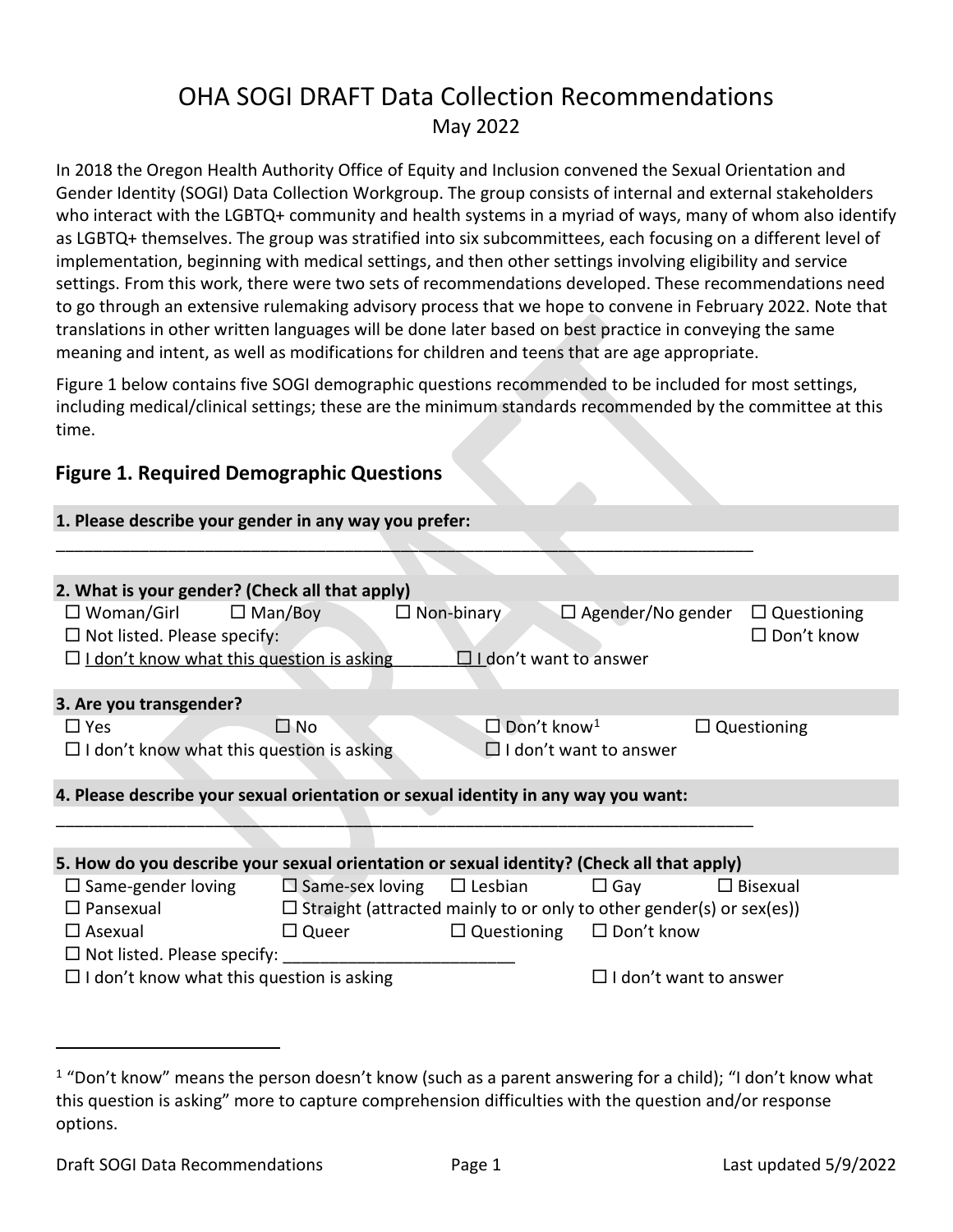# OHA SOGI DRAFT Data Collection Recommendations May 2022

In 2018 the Oregon Health Authority Office of Equity and Inclusion convened the Sexual Orientation and Gender Identity (SOGI) Data Collection Workgroup. The group consists of internal and external stakeholders who interact with the LGBTQ+ community and health systems in a myriad of ways, many of whom also identify as LGBTQ+ themselves. The group was stratified into six subcommittees, each focusing on a different level of implementation, beginning with medical settings, and then other settings involving eligibility and service settings. From this work, there were two sets of recommendations developed. These recommendations need to go through an extensive rulemaking advisory process that we hope to convene in February 2022. Note that translations in other written languages will be done later based on best practice in conveying the same meaning and intent, as well as modifications for children and teens that are age appropriate.

Figure 1 below contains five SOGI demographic questions recommended to be included for most settings, including medical/clinical settings; these are the minimum standards recommended by the committee at this time.

### **Figure 1. Required Demographic Questions**

**1. Please describe your gender in any way you prefer:**

| 1. Please describe your gender in any way you prefer:                                     |                                                                                   |                                      |                                                                             |                      |  |  |  |
|-------------------------------------------------------------------------------------------|-----------------------------------------------------------------------------------|--------------------------------------|-----------------------------------------------------------------------------|----------------------|--|--|--|
|                                                                                           |                                                                                   |                                      |                                                                             |                      |  |  |  |
|                                                                                           |                                                                                   |                                      |                                                                             |                      |  |  |  |
| 2. What is your gender? (Check all that apply)                                            |                                                                                   |                                      |                                                                             |                      |  |  |  |
| $\square$ Woman/Girl                                                                      | $\Box$ Man/Boy                                                                    | $\Box$ Non-binary                    | $\Box$ Agender/No gender                                                    | $\Box$ Questioning   |  |  |  |
| $\Box$ Not listed. Please specify:                                                        |                                                                                   |                                      |                                                                             | $\square$ Don't know |  |  |  |
|                                                                                           | $\Box$ I don't want to answer<br>$\Box$ I don't know what this question is asking |                                      |                                                                             |                      |  |  |  |
|                                                                                           |                                                                                   |                                      |                                                                             |                      |  |  |  |
| 3. Are you transgender?                                                                   |                                                                                   |                                      |                                                                             |                      |  |  |  |
| $\Box$ Yes                                                                                | $\square$ No                                                                      | $\square$ Don't know <sup>1</sup>    |                                                                             | $\Box$ Questioning   |  |  |  |
|                                                                                           | $\Box$ I don't know what this question is asking<br>$\Box$ I don't want to answer |                                      |                                                                             |                      |  |  |  |
|                                                                                           |                                                                                   |                                      |                                                                             |                      |  |  |  |
| 4. Please describe your sexual orientation or sexual identity in any way you want:        |                                                                                   |                                      |                                                                             |                      |  |  |  |
|                                                                                           |                                                                                   |                                      |                                                                             |                      |  |  |  |
|                                                                                           |                                                                                   |                                      |                                                                             |                      |  |  |  |
| 5. How do you describe your sexual orientation or sexual identity? (Check all that apply) |                                                                                   |                                      |                                                                             |                      |  |  |  |
| $\square$ Same-gender loving                                                              | $\square$ Same-sex loving                                                         | $\Box$ Lesbian                       | $\Box$ Gay                                                                  | $\Box$ Bisexual      |  |  |  |
| $\Box$ Pansexual                                                                          |                                                                                   |                                      | $\Box$ Straight (attracted mainly to or only to other gender(s) or sex(es)) |                      |  |  |  |
|                                                                                           |                                                                                   |                                      |                                                                             |                      |  |  |  |
| $\Box$ Asexual                                                                            | $\Box$ Queer                                                                      | $\Box$ Questioning $\Box$ Don't know |                                                                             |                      |  |  |  |
| $\Box$ Not listed. Please specify:                                                        |                                                                                   |                                      |                                                                             |                      |  |  |  |
| $\Box$ I don't know what this question is asking                                          |                                                                                   |                                      | $\Box$ I don't want to answer                                               |                      |  |  |  |
|                                                                                           |                                                                                   |                                      |                                                                             |                      |  |  |  |

<span id="page-0-0"></span> $1$  "Don't know" means the person doesn't know (such as a parent answering for a child); "I don't know what this question is asking" more to capture comprehension difficulties with the question and/or response options.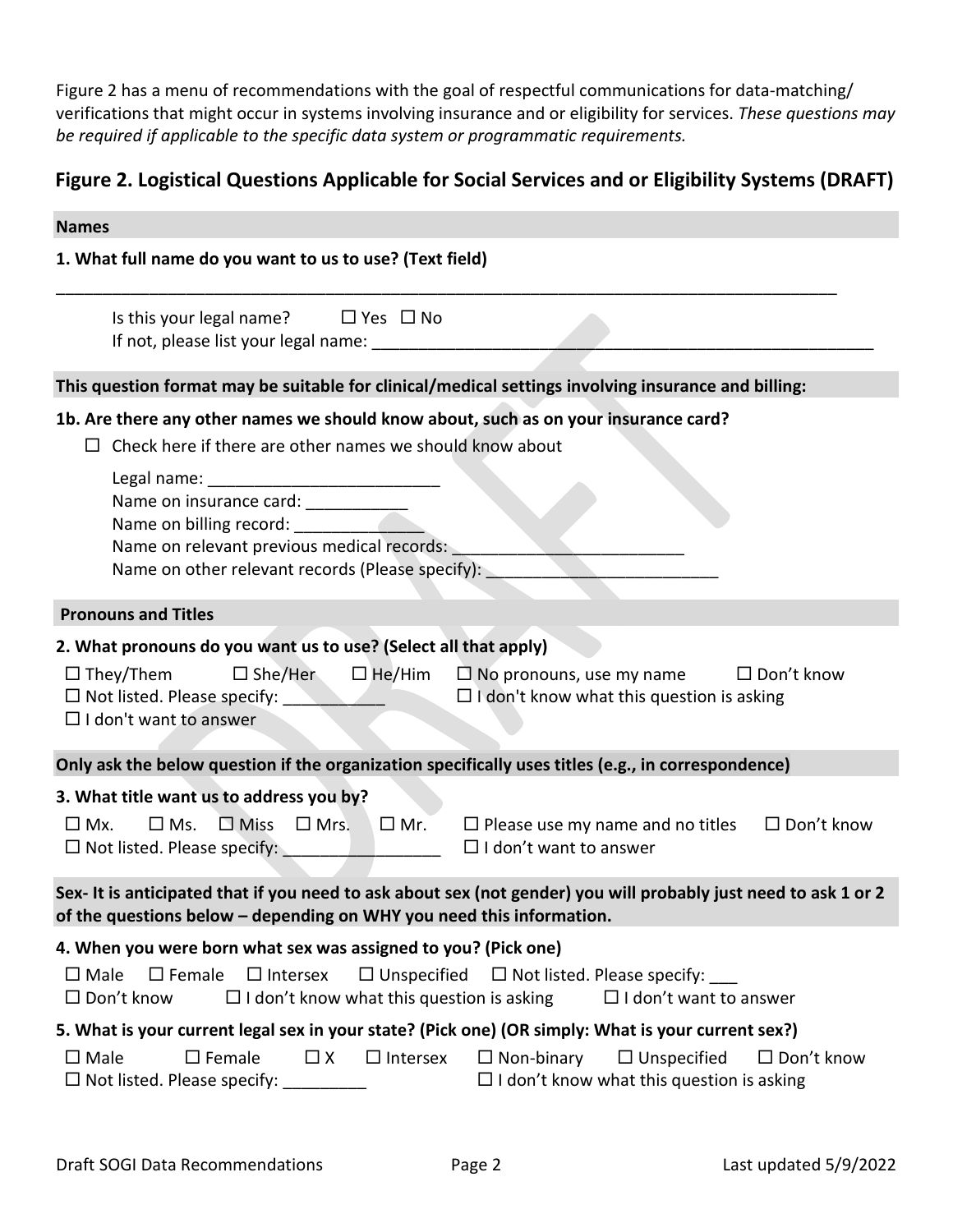Figure 2 has a menu of recommendations with the goal of respectful communications for data-matching/ verifications that might occur in systems involving insurance and or eligibility for services. *These questions may be required if applicable to the specific data system or programmatic requirements.*

### **Figure 2. Logistical Questions Applicable for Social Services and or Eligibility Systems (DRAFT)**

| <b>Names</b>                                                                                                                                                                                                                                                                                                                           |
|----------------------------------------------------------------------------------------------------------------------------------------------------------------------------------------------------------------------------------------------------------------------------------------------------------------------------------------|
| 1. What full name do you want to us to use? (Text field)                                                                                                                                                                                                                                                                               |
| Is this your legal name? $\Box$ Yes $\Box$ No<br>If not, please list your legal name: ____________                                                                                                                                                                                                                                     |
| This question format may be suitable for clinical/medical settings involving insurance and billing:                                                                                                                                                                                                                                    |
| 1b. Are there any other names we should know about, such as on your insurance card?                                                                                                                                                                                                                                                    |
| $\Box$ Check here if there are other names we should know about                                                                                                                                                                                                                                                                        |
| Name on insurance card: ___________<br>Name on relevant previous medical records:<br>Name on other relevant records (Please specify):                                                                                                                                                                                                  |
| <b>Pronouns and Titles</b>                                                                                                                                                                                                                                                                                                             |
| 2. What pronouns do you want us to use? (Select all that apply)<br>$\square$ She/Her<br>$\Box$ He/Him $\Box$ No pronouns, use my name<br>$\Box$ They/Them<br>$\Box$ Don't know<br>$\Box$ I don't know what this question is asking<br>$\Box$ I don't want to answer                                                                    |
| Only ask the below question if the organization specifically uses titles (e.g., in correspondence)                                                                                                                                                                                                                                     |
| 3. What title want us to address you by?<br>$\Box$ Miss $\Box$ Mrs.<br>$\square$ Ms.<br>$\square$ Mr.<br>$\Box$ Please use my name and no titles<br>$\Box$ Don't know<br>$\square$ Mx.<br>$\Box$ I don't want to answer<br>□ Not listed. Please specify: <u>_____________________</u>                                                  |
| Sex- It is anticipated that if you need to ask about sex (not gender) you will probably just need to ask 1 or 2<br>of the questions below - depending on WHY you need this information.                                                                                                                                                |
| 4. When you were born what sex was assigned to you? (Pick one)<br>$\Box$ Female $\Box$ Intersex<br>$\square$ Male<br>$\Box$ Unspecified<br>$\Box$ Not listed. Please specify:<br>$\Box$ I don't know what this question is asking<br>$\Box$ I don't want to answer<br>$\Box$ Don't know                                                |
| 5. What is your current legal sex in your state? (Pick one) (OR simply: What is your current sex?)<br>$\square$ Female<br>$\square$ Male<br>$\Box$ X<br>$\Box$ Intersex<br>$\Box$ Non-binary<br>$\Box$ Unspecified<br>$\Box$ Don't know<br>□ Not listed. Please specify: _________<br>$\Box$ I don't know what this question is asking |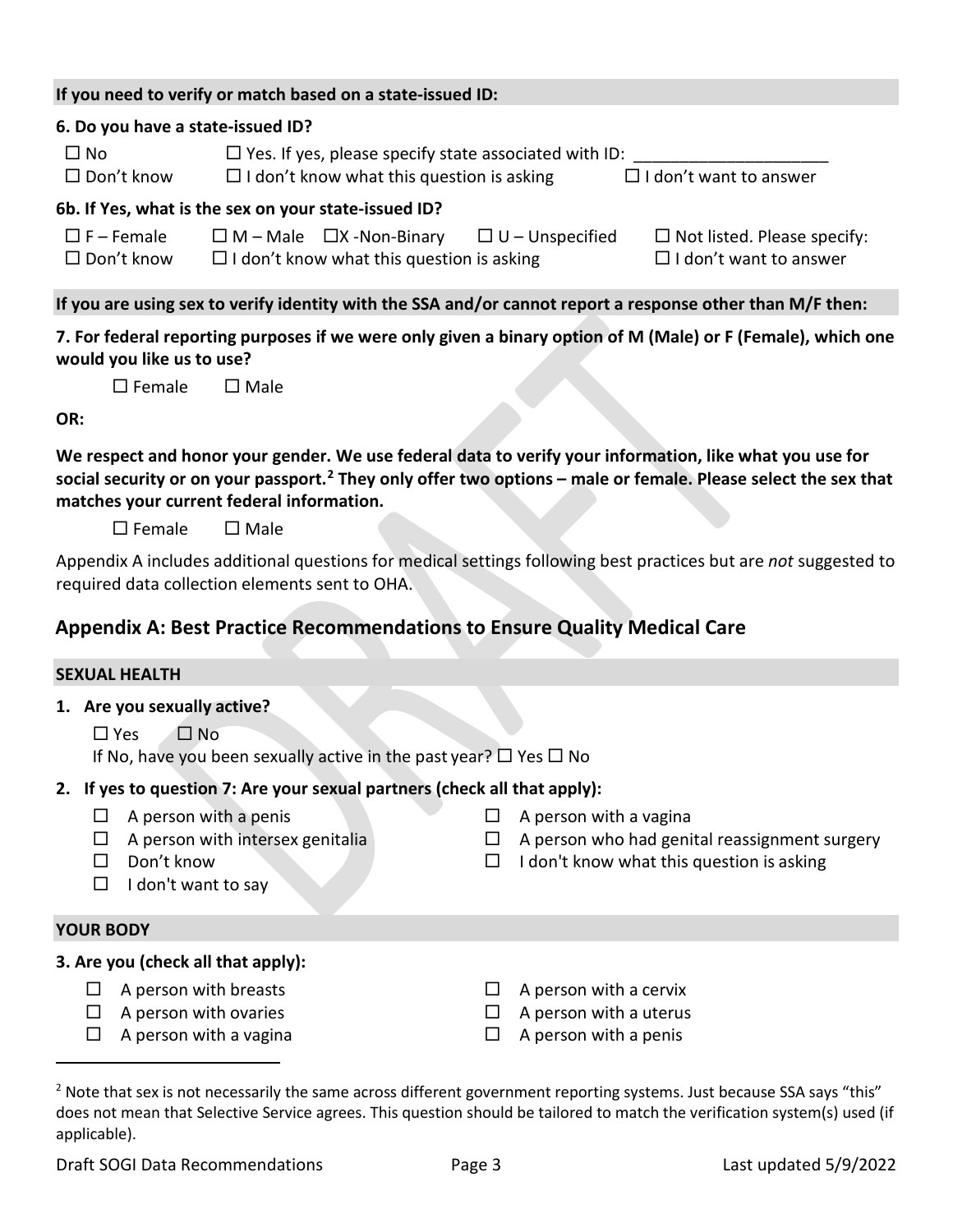|                                           | If you need to verify or match based on a state-issued ID:                                                                                                                             |
|-------------------------------------------|----------------------------------------------------------------------------------------------------------------------------------------------------------------------------------------|
| 6. Do you have a state-issued ID?         |                                                                                                                                                                                        |
| $\Box$ No<br>$\Box$ Don't know            | $\Box$ Yes. If yes, please specify state associated with ID:<br>$\Box$ I don't want to answer<br>$\Box$ I don't know what this question is asking                                      |
|                                           | 6b. If Yes, what is the sex on your state-issued ID?                                                                                                                                   |
| $\square$ F – Female<br>$\Box$ Don't know | $\Box$ M – Male $\Box$ X -Non-Binary $\Box$ U – Unspecified<br>$\Box$ Not listed. Please specify:<br>$\Box$ I don't want to answer<br>$\Box$ I don't know what this question is asking |
|                                           | If you are using sex to verify identity with the SSA and/or cannot report a response other than M/F then:                                                                              |
|                                           |                                                                                                                                                                                        |

**7. For federal reporting purposes if we were only given a binary option of M (Male) or F (Female), which one would you like us to use?** 

| $\square$ Female | $\square$ Male |
|------------------|----------------|
|                  |                |

**OR:** 

**We respect and honor your gender. We use federal data to verify your information, like what you use for social security or on your passport.[2](#page-2-0) They only offer two options – male or female. Please select the sex that matches your current federal information.** 

 $\square$  Female  $\square$  Male

Appendix A includes additional questions for medical settings following best practices but are *not* suggested to required data collection elements sent to OHA.

# **Appendix A: Best Practice Recommendations to Ensure Quality Medical Care**

## **SEXUAL HEALTH**

**1. Are you sexually active?** 

 $\Box$  Yes  $\Box$  No

If No, have you been sexually active in the past year?  $\Box$  Yes  $\Box$  No

### **2. If yes to question 7: Are your sexual partners (check all that apply):**

- 
- 
- 
- $\Box$  I don't want to say

### **YOUR BODY**

#### **3. Are you (check all that apply):**

- $\Box$  A person with breasts  $\Box$  A person with a cervix
- 
- $\Box$  A person with a vagina  $\Box$  A person with a penis
- $\Box$  A person with a penis  $\Box$  A person with a vagina
- $\Box$  A person with intersex genitalia  $\Box$  A person who had genital reassignment surgery
- $\square$  Don't know  $\square$  I don't know what this question is asking
	-
- $\Box$  A person with ovaries  $\Box$  A person with a uterus
	-

<span id="page-2-0"></span><sup>&</sup>lt;sup>2</sup> Note that sex is not necessarily the same across different government reporting systems. Just because SSA says "this" does not mean that Selective Service agrees. This question should be tailored to match the verification system(s) used (if applicable).